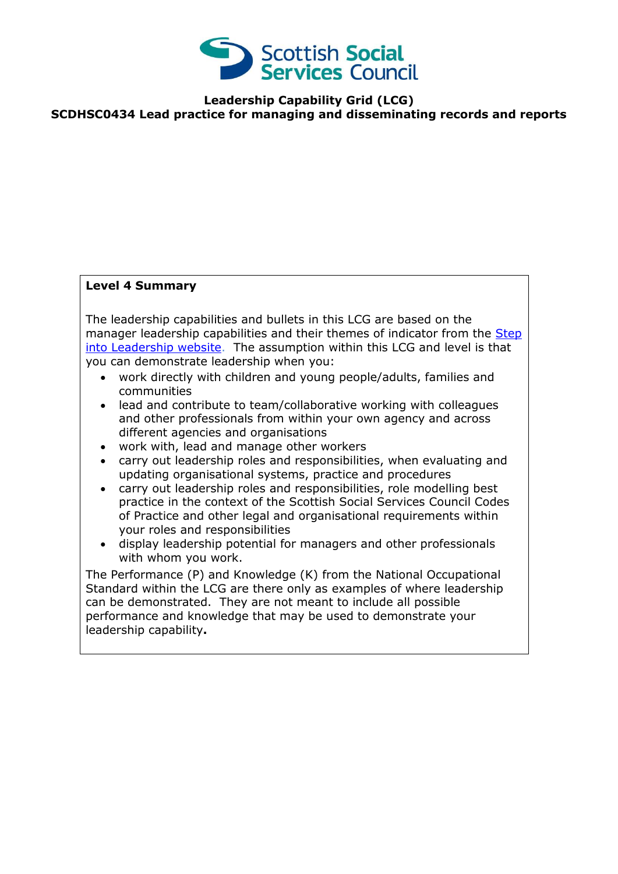

**Leadership Capability Grid (LCG) SCDHSC0434 Lead practice for managing and disseminating records and reports**

## **Level 4 Summary**

The leadership capabilities and bullets in this LCG are based on the manager leadership capabilities and their themes of indicator from the Step [into Leadership website.](http://www.stepintoleadership.info/index.html) The assumption within this LCG and level is that you can demonstrate leadership when you:

- work directly with children and young people/adults, families and communities
- lead and contribute to team/collaborative working with colleagues and other professionals from within your own agency and across different agencies and organisations
- work with, lead and manage other workers
- carry out leadership roles and responsibilities, when evaluating and updating organisational systems, practice and procedures
- carry out leadership roles and responsibilities, role modelling best practice in the context of the Scottish Social Services Council Codes of Practice and other legal and organisational requirements within your roles and responsibilities
- display leadership potential for managers and other professionals with whom you work.

The Performance (P) and Knowledge (K) from the National Occupational Standard within the LCG are there only as examples of where leadership can be demonstrated. They are not meant to include all possible performance and knowledge that may be used to demonstrate your leadership capability**.**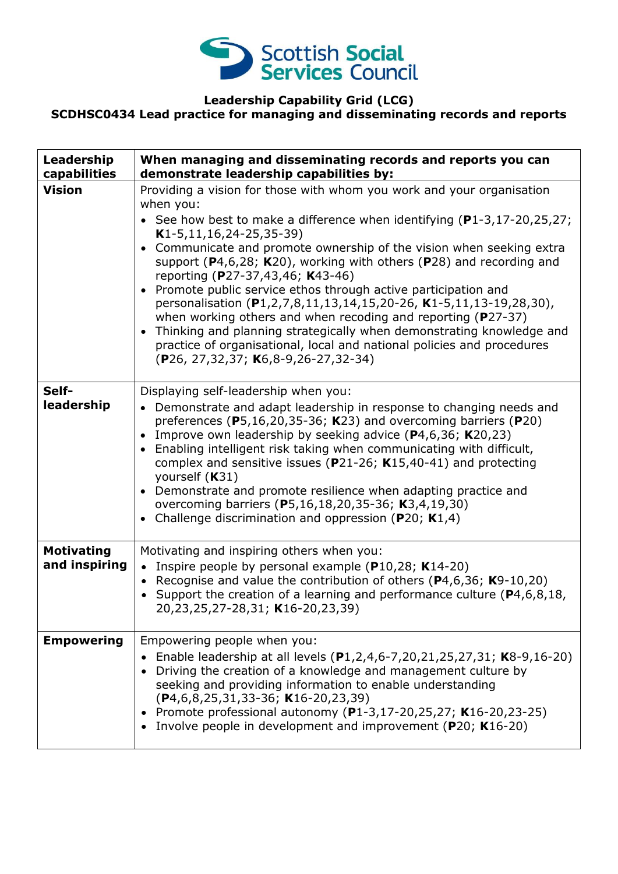

## **Leadership Capability Grid (LCG) SCDHSC0434 Lead practice for managing and disseminating records and reports**

| Leadership<br>capabilities         | When managing and disseminating records and reports you can<br>demonstrate leadership capabilities by:                                                                                                                                                                                                                                                                                                                                                                                                                                                                                                                                                                                                                                                                                                                                         |
|------------------------------------|------------------------------------------------------------------------------------------------------------------------------------------------------------------------------------------------------------------------------------------------------------------------------------------------------------------------------------------------------------------------------------------------------------------------------------------------------------------------------------------------------------------------------------------------------------------------------------------------------------------------------------------------------------------------------------------------------------------------------------------------------------------------------------------------------------------------------------------------|
| <b>Vision</b>                      | Providing a vision for those with whom you work and your organisation<br>when you:<br>• See how best to make a difference when identifying $(P1-3, 17-20, 25, 27)$ ;<br>$K1-5, 11, 16, 24-25, 35-39)$<br>Communicate and promote ownership of the vision when seeking extra<br>$\bullet$<br>support ( $P$ 4,6,28; K20), working with others ( $P$ 28) and recording and<br>reporting (P27-37,43,46; K43-46)<br>Promote public service ethos through active participation and<br>$\bullet$<br>personalisation (P1,2,7,8,11,13,14,15,20-26, K1-5,11,13-19,28,30),<br>when working others and when recoding and reporting ( $P27-37$ )<br>Thinking and planning strategically when demonstrating knowledge and<br>$\bullet$<br>practice of organisational, local and national policies and procedures<br>(P26, 27, 32, 37; K6, 8-9, 26-27, 32-34) |
| Self-<br>leadership                | Displaying self-leadership when you:<br>Demonstrate and adapt leadership in response to changing needs and<br>preferences ( $P5,16,20,35-36$ ; K23) and overcoming barriers ( $P20$ )<br>Improve own leadership by seeking advice $(P4,6,36; K20,23)$<br>$\bullet$<br>Enabling intelligent risk taking when communicating with difficult,<br>$\bullet$<br>complex and sensitive issues ( $P$ 21-26; K15,40-41) and protecting<br>yourself (K31)<br>Demonstrate and promote resilience when adapting practice and<br>overcoming barriers (P5,16,18,20,35-36; K3,4,19,30)<br>Challenge discrimination and oppression ( $P20$ ; $K1,4$ )                                                                                                                                                                                                          |
| <b>Motivating</b><br>and inspiring | Motivating and inspiring others when you:<br>• Inspire people by personal example (P10,28; K14-20)<br>• Recognise and value the contribution of others ( $P$ 4,6,36; K9-10,20)<br>• Support the creation of a learning and performance culture ( $P4, 6, 8, 18$ ,<br>20,23,25,27-28,31; K16-20,23,39)                                                                                                                                                                                                                                                                                                                                                                                                                                                                                                                                          |
| <b>Empowering</b>                  | Empowering people when you:<br>Enable leadership at all levels (P1,2,4,6-7,20,21,25,27,31; K8-9,16-20)<br>Driving the creation of a knowledge and management culture by<br>seeking and providing information to enable understanding<br>$(P4, 6, 8, 25, 31, 33 - 36; K16 - 20, 23, 39)$<br>Promote professional autonomy (P1-3,17-20,25,27; K16-20,23-25)<br>Involve people in development and improvement (P20; K16-20)                                                                                                                                                                                                                                                                                                                                                                                                                       |